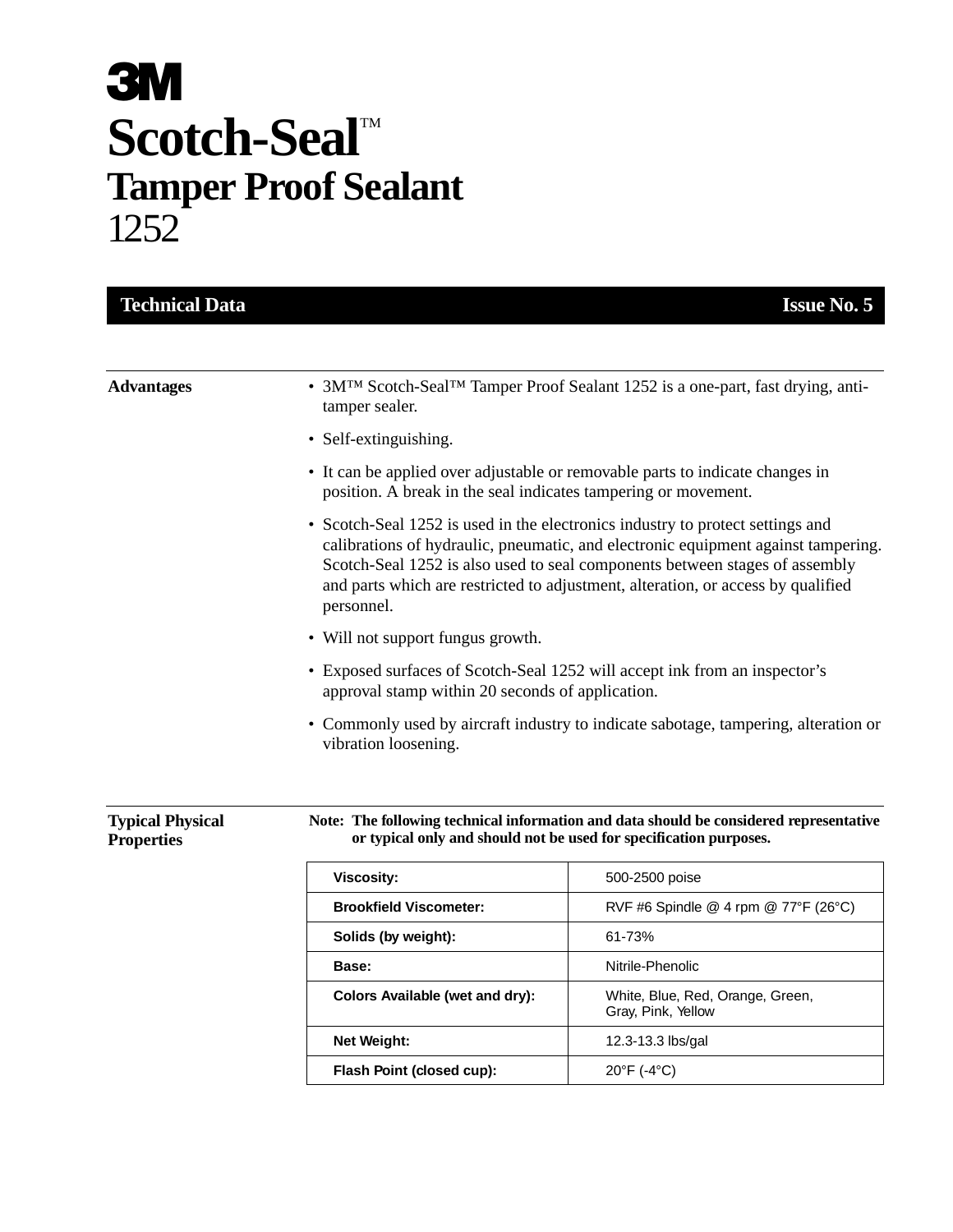## **3M** Scotch-Seal<sup>TM</sup> **Tamper Proof Sealant** 1252

| <b>Technical Data</b>                        |                                                                                                                                                                                                                                                                                                        | <b>Issue No. 5</b>                   |  |
|----------------------------------------------|--------------------------------------------------------------------------------------------------------------------------------------------------------------------------------------------------------------------------------------------------------------------------------------------------------|--------------------------------------|--|
|                                              |                                                                                                                                                                                                                                                                                                        |                                      |  |
| <b>Advantages</b>                            | • 3M <sup>TM</sup> Scotch-Seal <sup>TM</sup> Tamper Proof Sealant 1252 is a one-part, fast drying, anti-<br>tamper sealer.<br>• Self-extinguishing.<br>• It can be applied over adjustable or removable parts to indicate changes in<br>position. A break in the seal indicates tampering or movement. |                                      |  |
|                                              |                                                                                                                                                                                                                                                                                                        |                                      |  |
|                                              |                                                                                                                                                                                                                                                                                                        |                                      |  |
|                                              | • Will not support fungus growth.<br>• Exposed surfaces of Scotch-Seal 1252 will accept ink from an inspector's<br>approval stamp within 20 seconds of application.                                                                                                                                    |                                      |  |
|                                              |                                                                                                                                                                                                                                                                                                        |                                      |  |
| <b>Typical Physical</b><br><b>Properties</b> | Note: The following technical information and data should be considered representative<br>or typical only and should not be used for specification purposes.                                                                                                                                           |                                      |  |
|                                              | <b>Viscosity:</b>                                                                                                                                                                                                                                                                                      | 500-2500 poise                       |  |
|                                              | <b>Brookfield Viscometer:</b>                                                                                                                                                                                                                                                                          | RVF #6 Spindle @ 4 rpm @ 77°F (26°C) |  |
|                                              | Solids (by weight):                                                                                                                                                                                                                                                                                    | 61-73%                               |  |
|                                              | Base:                                                                                                                                                                                                                                                                                                  | Nitrile-Phenolic                     |  |

**Colors Available (wet and dry):** White, Blue, Red, Orange, Green,

**Net Weight:** 12.3-13.3 lbs/gal

**Flash Point (closed cup):** 20°F (-4°C)

Gray, Pink, Yellow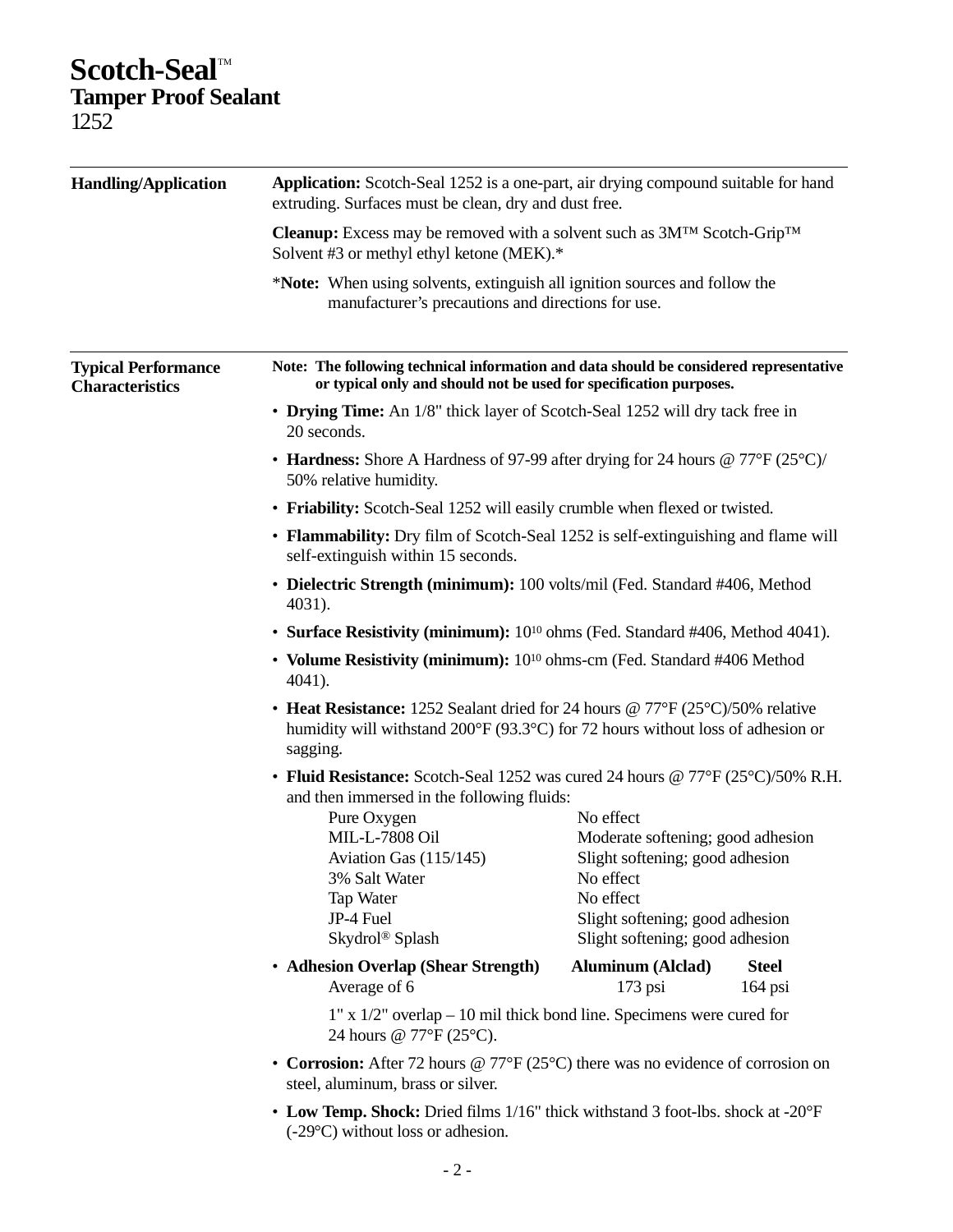## Scotch-Seal<sup>M</sup> **Tamper Proof Sealant** 1252

| <b>Handling/Application</b>                          | Application: Scotch-Seal 1252 is a one-part, air drying compound suitable for hand<br>extruding. Surfaces must be clean, dry and dust free.                                  |                                                                                                                                                                                   |                           |  |
|------------------------------------------------------|------------------------------------------------------------------------------------------------------------------------------------------------------------------------------|-----------------------------------------------------------------------------------------------------------------------------------------------------------------------------------|---------------------------|--|
|                                                      | <b>Cleanup:</b> Excess may be removed with a solvent such as $3M^{TM}$ Scotch-Grip <sup>TM</sup><br>Solvent #3 or methyl ethyl ketone (MEK).*                                |                                                                                                                                                                                   |                           |  |
|                                                      | *Note: When using solvents, extinguish all ignition sources and follow the<br>manufacturer's precautions and directions for use.                                             |                                                                                                                                                                                   |                           |  |
| <b>Typical Performance</b><br><b>Characteristics</b> | Note: The following technical information and data should be considered representative<br>or typical only and should not be used for specification purposes.                 |                                                                                                                                                                                   |                           |  |
|                                                      | • Drying Time: An 1/8" thick layer of Scotch-Seal 1252 will dry tack free in<br>20 seconds.                                                                                  |                                                                                                                                                                                   |                           |  |
|                                                      | • Hardness: Shore A Hardness of 97-99 after drying for 24 hours @ $77^{\circ}F(25^{\circ}C)/$<br>50% relative humidity.                                                      |                                                                                                                                                                                   |                           |  |
|                                                      | • Friability: Scotch-Seal 1252 will easily crumble when flexed or twisted.                                                                                                   |                                                                                                                                                                                   |                           |  |
|                                                      | • Flammability: Dry film of Scotch-Seal 1252 is self-extinguishing and flame will<br>self-extinguish within 15 seconds.                                                      |                                                                                                                                                                                   |                           |  |
|                                                      | • Dielectric Strength (minimum): 100 volts/mil (Fed. Standard #406, Method<br>4031).                                                                                         |                                                                                                                                                                                   |                           |  |
|                                                      | • Surface Resistivity (minimum): 10 <sup>10</sup> ohms (Fed. Standard #406, Method 4041).                                                                                    |                                                                                                                                                                                   |                           |  |
|                                                      | • Volume Resistivity (minimum): 10 <sup>10</sup> ohms-cm (Fed. Standard #406 Method<br>4041).                                                                                |                                                                                                                                                                                   |                           |  |
|                                                      | • Heat Resistance: 1252 Sealant dried for 24 hours @ 77°F (25°C)/50% relative<br>humidity will withstand 200°F (93.3°C) for 72 hours without loss of adhesion or<br>sagging. |                                                                                                                                                                                   |                           |  |
|                                                      | • Fluid Resistance: Scotch-Seal 1252 was cured 24 hours @ 77°F (25°C)/50% R.H.<br>and then immersed in the following fluids:                                                 |                                                                                                                                                                                   |                           |  |
|                                                      | Pure Oxygen<br>MIL-L-7808 Oil<br>Aviation Gas (115/145)<br>3% Salt Water<br>Tap Water<br>JP-4 Fuel<br>Skydrol® Splash                                                        | No effect<br>Moderate softening; good adhesion<br>Slight softening; good adhesion<br>No effect<br>No effect<br>Slight softening; good adhesion<br>Slight softening; good adhesion |                           |  |
|                                                      | • Adhesion Overlap (Shear Strength)<br>Average of 6                                                                                                                          | <b>Aluminum</b> (Alclad)<br>$173$ psi                                                                                                                                             | <b>Steel</b><br>$164$ psi |  |
|                                                      | $1"$ x $1/2"$ overlap – 10 mil thick bond line. Specimens were cured for<br>24 hours @ 77°F (25°C).                                                                          |                                                                                                                                                                                   |                           |  |
|                                                      | • Corrosion: After 72 hours @ 77°F (25°C) there was no evidence of corrosion on<br>steel, aluminum, brass or silver.                                                         |                                                                                                                                                                                   |                           |  |
|                                                      | $\bullet$ Law Tapp Shock: Dried films $1/16$ " thick withstand 3 foot lbs, shock at $20^{\circ}$ F                                                                           |                                                                                                                                                                                   |                           |  |

• **Low Temp. Shock:** Dried films 1/16" thick withstand 3 foot-lbs. shock at -20°F (-29°C) without loss or adhesion.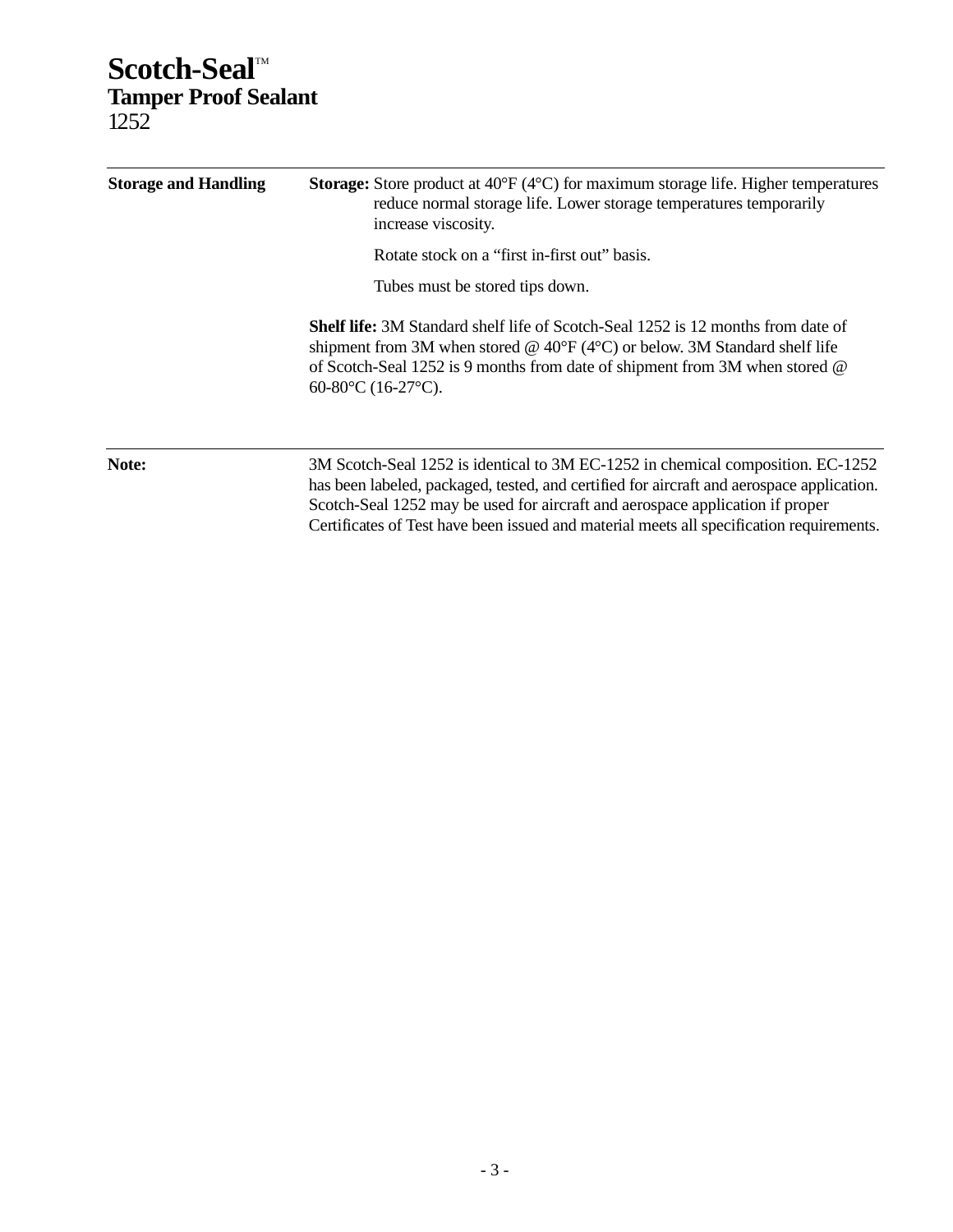## Scotch-Seal<sup>M</sup> **Tamper Proof Sealant** 1252

| <b>Storage and Handling</b> | <b>Storage:</b> Store product at $40^{\circ}F (4^{\circ}C)$ for maximum storage life. Higher temperatures<br>reduce normal storage life. Lower storage temperatures temporarily<br>increase viscosity.<br>Rotate stock on a "first in-first out" basis.<br>Tubes must be stored tips down.                             |  |
|-----------------------------|------------------------------------------------------------------------------------------------------------------------------------------------------------------------------------------------------------------------------------------------------------------------------------------------------------------------|--|
|                             | <b>Shelf life:</b> 3M Standard shelf life of Scotch-Seal 1252 is 12 months from date of<br>shipment from 3M when stored @ $40^{\circ}F(4^{\circ}C)$ or below. 3M Standard shelf life<br>of Scotch-Seal 1252 is 9 months from date of shipment from 3M when stored @<br>60-80 $\rm ^{\circ}C$ (16-27 $\rm ^{\circ}C$ ). |  |
| Note:                       | 3M Scotch-Seal 1252 is identical to 3M EC-1252 in chemical composition. EC-1252<br>has been labeled, packaged, tested, and certified for aircraft and aerospace application.<br>Scotch-Seal 1252 may be used for aircraft and aerospace application if proper                                                          |  |

Certificates of Test have been issued and material meets all specification requirements.